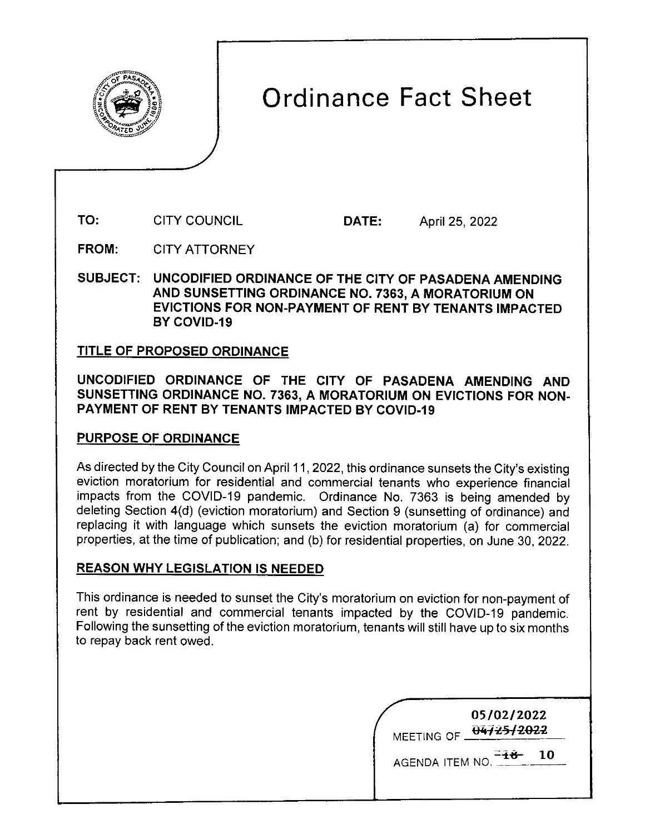

# Ordinance Fact Sheet

**TO:** CITY COUNCIL **DATE:** April 25, 2022

**FROM:** CITY ATTORNEY

**SUBJECT: UNCODIFIED ORDINANCE OF THE CITY OF PASADENA AMENDING AND SUNSETTING ORDINANCE NO. 7363, A MORATORIUM ON EVICTIONS FOR NON-PAYMENT OF RENT BY TENANTS IMPACTED BY COVID-19** 

## **TITLE OF PROPOSED ORDINANCE**

**UNCODIFIED ORDINANCE OF THE CITY OF PASADENA AMENDING AND SUNSETTING ORDINANCE NO. 7363, A MORATORIUM ON EVICTIONS FOR NON-PAYMENT OF RENT BY TENANTS IMPACTED BY COVID-19** 

## **PURPOSE OF ORDINANCE**

As directed by the City Council on April 11, 2022, this ordinance sunsets the City's existing eviction moratorium for residential and commercial tenants who experience financial impacts from the COVID-19 pandemic. Ordinance No. 7363 is being amended by deleting Section 4(d) (eviction moratorium) and Section 9 (sunsetting of ordinance) and replacing it with language which sunsets the eviction moratorium (a) for commercial properties, at the time of publication; and (b) for residential properties, on June 30, 2022.

# **REASON WHY LEGISLATION IS NEEDED**

This ordinance is needed to sunset the City's moratorium on eviction for non-payment of rent by residential and commercial tenants impacted by the COVID-19 pandemic. Following the sunsetting of the eviction moratorium, tenants will still have up to six months to repay back rent owed.

|                 | 05/02/2022<br>MEETING OF 04725/2022 |    |
|-----------------|-------------------------------------|----|
| AGENDA ITEM NO. |                                     | 10 |